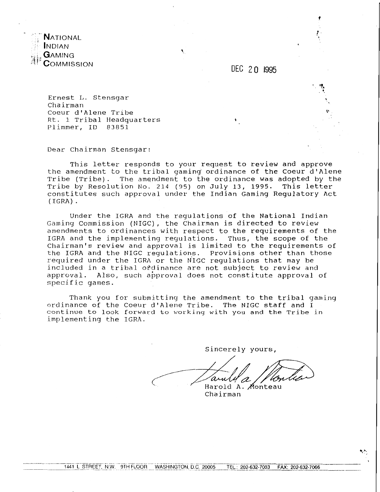

DEC 20 1995

Ernest I,. Stensgar chairman Coeur d'Alene Tribe Rt. 1 Tribal Headquarters Plimmer, ID 83851

Dear Chairman Stensgar:

This letter responds to your request to review and approve the amendment to the tribal gaming' ordinance of the Coeur d'Alene Tribe (Tribe). The amendment to the ordinance was adopted by the Tribe by Resolution No. 214 (95) on July 13, 1995. This letter constitutes such approval under the Indian Gaming Regulatory Act (IGRA) .

Under the IGRA and the regulations of the National Indian Gaming Commission (NIGC), the Chairman is directed to review amendments to ordinances with respect to the requirements of the IGRA and the implementing regulations. Thus, the scope of the Chairman's review and approval is limited to the requirements of the IGRA and the NIGC regulations. Provisions other than those required under the IGRA or the N'IGC regulations that may be included in a tribal ordinance are not subject to review and approval. Also, such approval does not constitute approval of specific games.

Thank you for submittiny the amendment to the tribal gaming ordinance of the Coeur dtAlene Tribe. The NIGC staff and **1 continue to look forward to working with you and the Tribe in**  implementing the IGRA.

Sincerely yours,

'a Harold A. Monteau

Chairman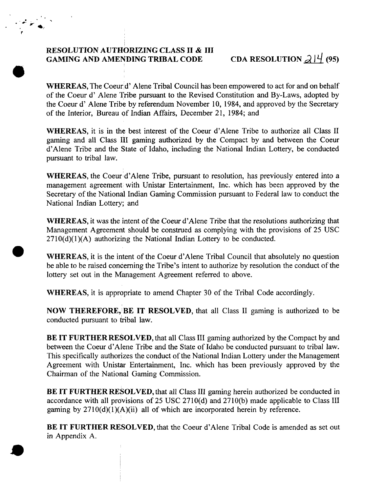## RESOLUTION AUTHORIZING CLASS II & III<br>GAMING AND AMENDING TRIBAL CODE CDA RESOLUTION  $2/4$  (95)

WHEREAS, The Coeurd' Alene Tribal Council has been empowered to act for and on behalf of the Coeur d' Alene Tribe pursuant to the Revised Constitution and By-Laws, adopted by the Coeur d' Alene Tribe by referendum November 10, 1984, and approved by the Secretary of the Interior, Bureau of Indian Affairs, December 21, 1984; and

WHEREAS, it is in the best interest of the Coeur d'Alene Tribe to authorize all Class I1 gaming and all Class I11 gaming authorized by the Compact by and between the Coeur d'Alene Tribe and the State of Idaho, including the National Indian Lottery, be conducted pursuant to tribal law.

WHEREAS, the Coeur d'Alene Tribe, pursuant to resolution, has previously entered into a management agreement with Unistar Entertainment, Inc. which has been approved by the Secretary of the National Indian Gaming Commission pursuant to Federal law to conduct the National Indian Lottery; and

WHEREAS, it was the intent of the Coeur d'Alene Tribe that the resolutions authorizing that Management Agreement should be construed as complying with the provisions of 25 USC  $2710(d)(1)(A)$  authorizing the National Indian Lottery to be conducted.

WHEREAS, it is the intent of the Coeur d'Alene Tribal Council that absolutely no question be able to be raised concerning the Tribe's intent to authorize by resolution the conduct of the lottery set out in the Management Agreement referred to above.

WHEREAS, it is appropriate to amend Chapter 30 of the Tribal Code accordingly.

NOW THEREFORE, BE IT RESOLVED, that all Class II gaming is authorized to be conducted pursuant to tribal law.

BE IT FURTHER RESOLVED, that all Class III gaming authorized by the Compact by and between the Coeur d'Alene Tribe and the State of Idaho be conducted pursuant to tribal law. This specifically authorizes the conduct of the National Indian Lottery under the Management Agreement with Unistar Entertainment, Inc. which has been previously approved by the Chairman of the National Gaming Commission.

BE IT FURTHER RESOLVED, that all Class III gaming herein authorized be conducted in accordance with all provisions of 25 USC 2710(d) and 2710(b) made applicable to Class I11 gaming by  $2710(d)(1)(A)(ii)$  all of which are incorporated herein by reference.

BE IT FURTHER RESOLVED, that the Coeur d'Alene Tribal Code is amended as set out in Appendix A.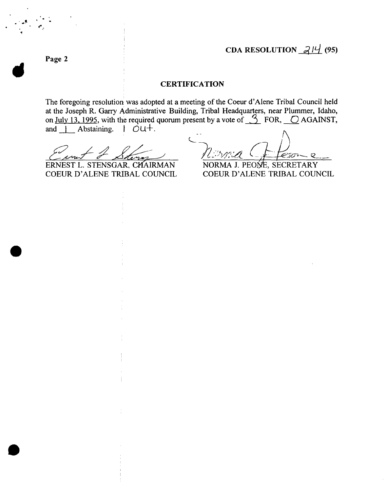**Page 2** 

## **CERTIFICATION**

The foregoing resolution was adopted at a meeting of the Coeur d'Alene Tribal Council held at the Joseph R. Garry Administrative Building, Tribal Headquarters, near Plummer, Idaho, on July 13, 1995, with the required quorum present by a vote of  $\frac{3}{2}$  FOR,  $\frac{6}{2}$  AGAINST, and  $\overline{\phantom{a}}$  Abstaining.  $\overline{\phantom{a}}$   $\overline{\phantom{a}}$   $\overline{\phantom{a}}$ 

--

ERNEST L. STENSGAR: CHAIRMAN

ピョッ Q

NORMA J. PEONE, SECRETARY COEUR D'ALENE TRIBAL COUNCIL COEUR D'ALENE TRIBAL COUNCIL

**3**